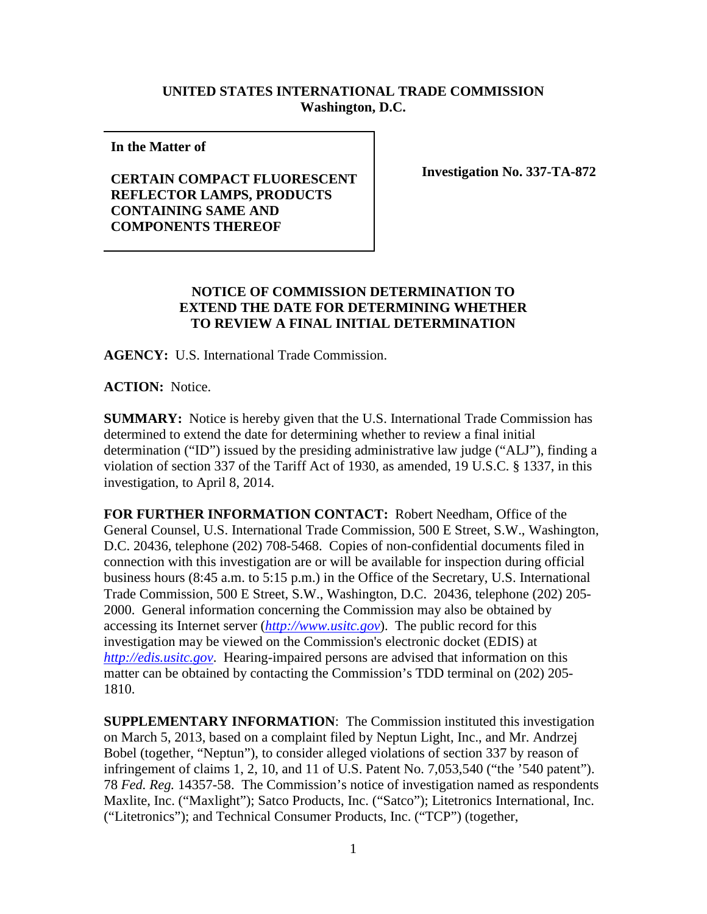## **UNITED STATES INTERNATIONAL TRADE COMMISSION Washington, D.C.**

**In the Matter of** 

## **CERTAIN COMPACT FLUORESCENT REFLECTOR LAMPS, PRODUCTS CONTAINING SAME AND COMPONENTS THEREOF**

**Investigation No. 337-TA-872**

## **NOTICE OF COMMISSION DETERMINATION TO EXTEND THE DATE FOR DETERMINING WHETHER TO REVIEW A FINAL INITIAL DETERMINATION**

**AGENCY:** U.S. International Trade Commission.

**ACTION:** Notice.

**SUMMARY:** Notice is hereby given that the U.S. International Trade Commission has determined to extend the date for determining whether to review a final initial determination ("ID") issued by the presiding administrative law judge ("ALJ"), finding a violation of section 337 of the Tariff Act of 1930, as amended, 19 U.S.C. § 1337, in this investigation, to April 8, 2014.

**FOR FURTHER INFORMATION CONTACT:** Robert Needham, Office of the General Counsel, U.S. International Trade Commission, 500 E Street, S.W., Washington, D.C. 20436, telephone (202) 708-5468. Copies of non-confidential documents filed in connection with this investigation are or will be available for inspection during official business hours (8:45 a.m. to 5:15 p.m.) in the Office of the Secretary, U.S. International Trade Commission, 500 E Street, S.W., Washington, D.C. 20436, telephone (202) 205- 2000. General information concerning the Commission may also be obtained by accessing its Internet server (*[http://www.usitc.gov](http://www.usitc.gov/)*). The public record for this investigation may be viewed on the Commission's electronic docket (EDIS) at *[http://edis.usitc.gov](http://edis.usitc.gov/)*. Hearing-impaired persons are advised that information on this matter can be obtained by contacting the Commission's TDD terminal on (202) 205- 1810.

**SUPPLEMENTARY INFORMATION**: The Commission instituted this investigation on March 5, 2013, based on a complaint filed by Neptun Light, Inc., and Mr. Andrzej Bobel (together, "Neptun"), to consider alleged violations of section 337 by reason of infringement of claims 1, 2, 10, and 11 of U.S. Patent No. 7,053,540 ("the '540 patent"). 78 *Fed. Reg.* 14357-58. The Commission's notice of investigation named as respondents Maxlite, Inc. ("Maxlight"); Satco Products, Inc. ("Satco"); Litetronics International, Inc. ("Litetronics"); and Technical Consumer Products, Inc. ("TCP") (together,